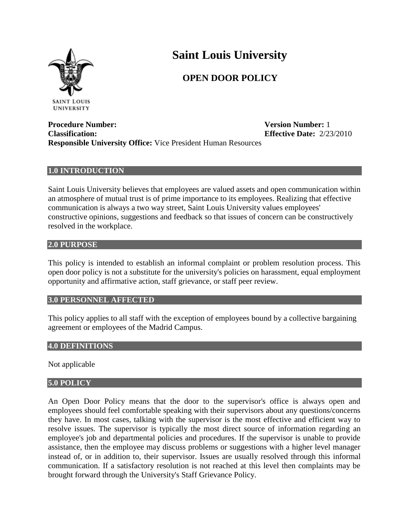

# **Saint Louis University**

# **OPEN DOOR POLICY**

**Procedure Number: Version Number:** 1 **Classification: Effective Date:** 2/23/2010 **Responsible University Office:** Vice President Human Resources

# **1.0 INTRODUCTION**

Saint Louis University believes that employees are valued assets and open communication within an atmosphere of mutual trust is of prime importance to its employees. Realizing that effective communication is always a two way street, Saint Louis University values employees' constructive opinions, suggestions and feedback so that issues of concern can be constructively resolved in the workplace.

#### **2.0 PURPOSE**

This policy is intended to establish an informal complaint or problem resolution process. This open door policy is not a substitute for the university's policies on harassment, equal employment opportunity and affirmative action, staff grievance, or staff peer review.

# **3.0 PERSONNEL AFFECTED**

This policy applies to all staff with the exception of employees bound by a collective bargaining agreement or employees of the Madrid Campus.

# **4.0 DEFINITIONS**

Not applicable

# **5.0 POLICY**

An Open Door Policy means that the door to the supervisor's office is always open and employees should feel comfortable speaking with their supervisors about any questions/concerns they have. In most cases, talking with the supervisor is the most effective and efficient way to resolve issues. The supervisor is typically the most direct source of information regarding an employee's job and departmental policies and procedures. If the supervisor is unable to provide assistance, then the employee may discuss problems or suggestions with a higher level manager instead of, or in addition to, their supervisor. Issues are usually resolved through this informal communication. If a satisfactory resolution is not reached at this level then complaints may be brought forward through the University's Staff Grievance Policy.